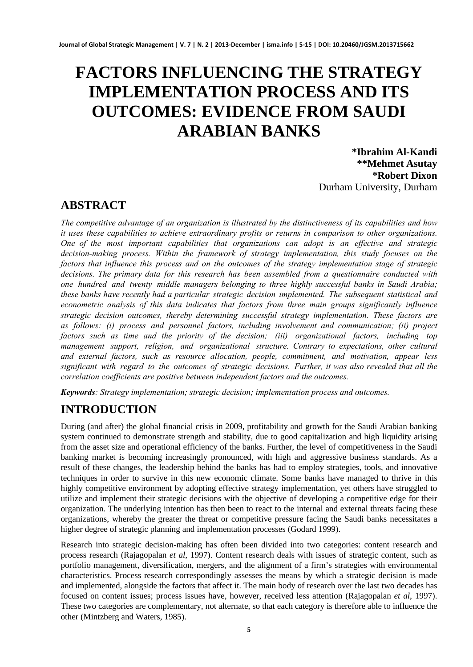# **FACTORS INFLUENCING THE STRATEGY IMPLEMENTATION PROCESS AND ITS OUTCOMES: EVIDENCE FROM SAUDI ARABIAN BANKS**

**\*Ibrahim Al-Kandi \*\*Mehmet Asutay \*Robert Dixon** Durham University, Durham

# **ABSTRACT**

*The competitive advantage of an organization is illustrated by the distinctiveness of its capabilities and how it uses these capabilities to achieve extraordinary profits or returns in comparison to other organizations. One of the most important capabilities that organizations can adopt is an effective and strategic decision-making process. Within the framework of strategy implementation, this study focuses on the factors that influence this process and on the outcomes of the strategy implementation stage of strategic decisions. The primary data for this research has been assembled from a questionnaire conducted with one hundred and twenty middle managers belonging to three highly successful banks in Saudi Arabia; these banks have recently had a particular strategic decision implemented. The subsequent statistical and econometric analysis of this data indicates that factors from three main groups significantly influence strategic decision outcomes, thereby determining successful strategy implementation. These factors are as follows: (i) process and personnel factors, including involvement and communication; (ii) project factors such as time and the priority of the decision; (iii) organizational factors, including top management support, religion, and organizational structure. Contrary to expectations, other cultural and external factors, such as resource allocation, people, commitment, and motivation, appear less significant with regard to the outcomes of strategic decisions. Further, it was also revealed that all the correlation coefficients are positive between independent factors and the outcomes.* 

*Keywords: Strategy implementation; strategic decision; implementation process and outcomes.* 

# **INTRODUCTION**

During (and after) the global financial crisis in 2009, profitability and growth for the Saudi Arabian banking system continued to demonstrate strength and stability, due to good capitalization and high liquidity arising from the asset size and operational efficiency of the banks. Further, the level of competitiveness in the Saudi banking market is becoming increasingly pronounced, with high and aggressive business standards. As a result of these changes, the leadership behind the banks has had to employ strategies, tools, and innovative techniques in order to survive in this new economic climate. Some banks have managed to thrive in this highly competitive environment by adopting effective strategy implementation, yet others have struggled to utilize and implement their strategic decisions with the objective of developing a competitive edge for their organization. The underlying intention has then been to react to the internal and external threats facing these organizations, whereby the greater the threat or competitive pressure facing the Saudi banks necessitates a higher degree of strategic planning and implementation processes (Godard 1999).

Research into strategic decision-making has often been divided into two categories: content research and process research (Rajagopalan *et al*, 1997). Content research deals with issues of strategic content, such as portfolio management, diversification, mergers, and the alignment of a firm's strategies with environmental characteristics. Process research correspondingly assesses the means by which a strategic decision is made and implemented, alongside the factors that affect it. The main body of research over the last two decades has focused on content issues; process issues have, however, received less attention (Rajagopalan *et al*, 1997). These two categories are complementary, not alternate, so that each category is therefore able to influence the other (Mintzberg and Waters, 1985).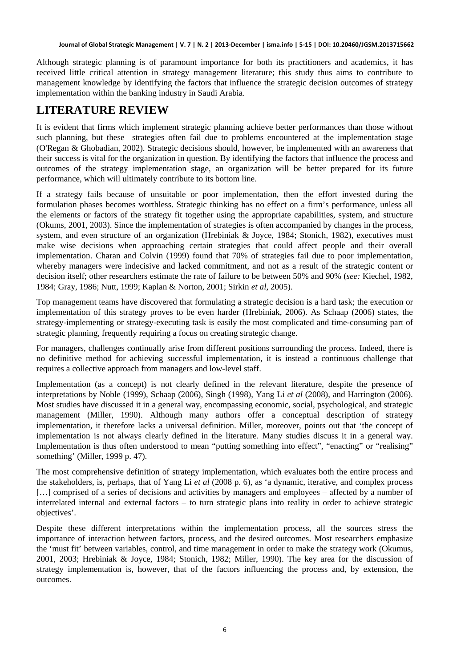Although strategic planning is of paramount importance for both its practitioners and academics, it has received little critical attention in strategy management literature; this study thus aims to contribute to management knowledge by identifying the factors that influence the strategic decision outcomes of strategy implementation within the banking industry in Saudi Arabia.

# **LITERATURE REVIEW**

It is evident that firms which implement strategic planning achieve better performances than those without such planning, but these strategies often fail due to problems encountered at the implementation stage (O'Regan & Ghobadian, 2002). Strategic decisions should, however, be implemented with an awareness that their success is vital for the organization in question. By identifying the factors that influence the process and outcomes of the strategy implementation stage, an organization will be better prepared for its future performance, which will ultimately contribute to its bottom line.

If a strategy fails because of unsuitable or poor implementation, then the effort invested during the formulation phases becomes worthless. Strategic thinking has no effect on a firm's performance, unless all the elements or factors of the strategy fit together using the appropriate capabilities, system, and structure (Okums, 2001, 2003). Since the implementation of strategies is often accompanied by changes in the process, system, and even structure of an organization (Hrebiniak & Joyce, 1984; Stonich, 1982), executives must make wise decisions when approaching certain strategies that could affect people and their overall implementation. Charan and Colvin (1999) found that 70% of strategies fail due to poor implementation, whereby managers were indecisive and lacked commitment, and not as a result of the strategic content or decision itself; other researchers estimate the rate of failure to be between 50% and 90% (*see:* Kiechel, 1982, 1984; Gray, 1986; Nutt, 1999; Kaplan & Norton, 2001; Sirkin *et al*, 2005).

Top management teams have discovered that formulating a strategic decision is a hard task; the execution or implementation of this strategy proves to be even harder (Hrebiniak, 2006). As Schaap (2006) states, the strategy-implementing or strategy-executing task is easily the most complicated and time-consuming part of strategic planning, frequently requiring a focus on creating strategic change.

For managers, challenges continually arise from different positions surrounding the process. Indeed, there is no definitive method for achieving successful implementation, it is instead a continuous challenge that requires a collective approach from managers and low-level staff.

Implementation (as a concept) is not clearly defined in the relevant literature, despite the presence of interpretations by Noble (1999), Schaap (2006), Singh (1998), Yang Li *et al* (2008), and Harrington (2006). Most studies have discussed it in a general way, encompassing economic, social, psychological, and strategic management (Miller, 1990). Although many authors offer a conceptual description of strategy implementation, it therefore lacks a universal definition. Miller, moreover, points out that 'the concept of implementation is not always clearly defined in the literature. Many studies discuss it in a general way. Implementation is thus often understood to mean "putting something into effect", "enacting" or "realising" something' (Miller, 1999 p. 47).

The most comprehensive definition of strategy implementation, which evaluates both the entire process and the stakeholders, is, perhaps, that of Yang Li *et al* (2008 p. 6), as 'a dynamic, iterative, and complex process [...] comprised of a series of decisions and activities by managers and employees – affected by a number of interrelated internal and external factors – to turn strategic plans into reality in order to achieve strategic objectives'.

Despite these different interpretations within the implementation process, all the sources stress the importance of interaction between factors, process, and the desired outcomes. Most researchers emphasize the 'must fit' between variables, control, and time management in order to make the strategy work (Okumus, 2001, 2003; Hrebiniak & Joyce, 1984; Stonich, 1982; Miller, 1990). The key area for the discussion of strategy implementation is, however, that of the factors influencing the process and, by extension, the outcomes.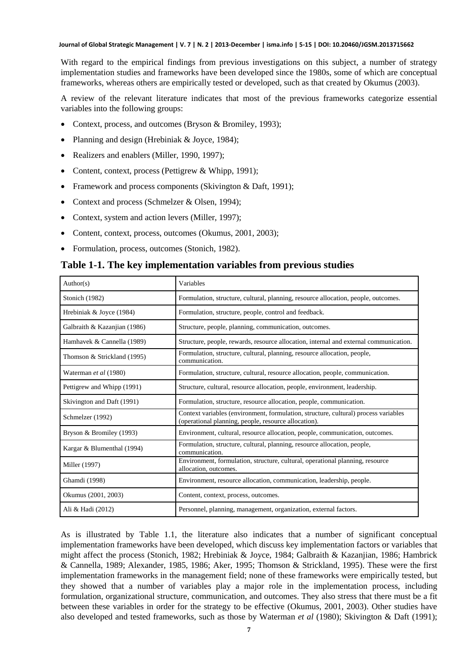With regard to the empirical findings from previous investigations on this subject, a number of strategy implementation studies and frameworks have been developed since the 1980s, some of which are conceptual frameworks, whereas others are empirically tested or developed, such as that created by Okumus (2003).

A review of the relevant literature indicates that most of the previous frameworks categorize essential variables into the following groups:

- Context, process, and outcomes (Bryson & Bromiley, 1993);
- Planning and design (Hrebiniak & Joyce, 1984);
- Realizers and enablers (Miller, 1990, 1997);
- Content, context, process (Pettigrew & Whipp, 1991);
- Framework and process components (Skivington & Daft, 1991);
- Context and process (Schmelzer & Olsen, 1994);
- Context, system and action levers (Miller, 1997);
- Content, context, process, outcomes (Okumus, 2001, 2003);
- Formulation, process, outcomes (Stonich, 1982).

#### **Table 1-1. The key implementation variables from previous studies**

| Author(s)                    | Variables                                                                                                                                   |
|------------------------------|---------------------------------------------------------------------------------------------------------------------------------------------|
| Stonich (1982)               | Formulation, structure, cultural, planning, resource allocation, people, outcomes.                                                          |
| Hrebiniak & Joyce (1984)     | Formulation, structure, people, control and feedback.                                                                                       |
| Galbraith & Kazanjian (1986) | Structure, people, planning, communication, outcomes.                                                                                       |
| Hamhavek & Cannella (1989)   | Structure, people, rewards, resource allocation, internal and external communication.                                                       |
| Thomson & Strickland (1995)  | Formulation, structure, cultural, planning, resource allocation, people,<br>communication.                                                  |
| Waterman et al (1980)        | Formulation, structure, cultural, resource allocation, people, communication.                                                               |
| Pettigrew and Whipp (1991)   | Structure, cultural, resource allocation, people, environment, leadership.                                                                  |
| Skivington and Daft (1991)   | Formulation, structure, resource allocation, people, communication.                                                                         |
| Schmelzer (1992)             | Context variables (environment, formulation, structure, cultural) process variables<br>(operational planning, people, resource allocation). |
| Bryson & Bromiley (1993)     | Environment, cultural, resource allocation, people, communication, outcomes.                                                                |
| Kargar & Blumenthal (1994)   | Formulation, structure, cultural, planning, resource allocation, people,<br>communication.                                                  |
| Miller (1997)                | Environment, formulation, structure, cultural, operational planning, resource<br>allocation, outcomes.                                      |
| Ghamdi (1998)                | Environment, resource allocation, communication, leadership, people.                                                                        |
| Okumus (2001, 2003)          | Content, context, process, outcomes.                                                                                                        |
| Ali & Hadi (2012)            | Personnel, planning, management, organization, external factors.                                                                            |

As is illustrated by Table 1.1, the literature also indicates that a number of significant conceptual implementation frameworks have been developed, which discuss key implementation factors or variables that might affect the process (Stonich, 1982; Hrebiniak & Joyce, 1984; Galbraith & Kazanjian, 1986; Hambrick & Cannella, 1989; Alexander, 1985, 1986; Aker, 1995; Thomson & Strickland, 1995). These were the first implementation frameworks in the management field; none of these frameworks were empirically tested, but they showed that a number of variables play a major role in the implementation process, including formulation, organizational structure, communication, and outcomes. They also stress that there must be a fit between these variables in order for the strategy to be effective (Okumus, 2001, 2003). Other studies have also developed and tested frameworks, such as those by Waterman *et al* (1980); Skivington & Daft (1991);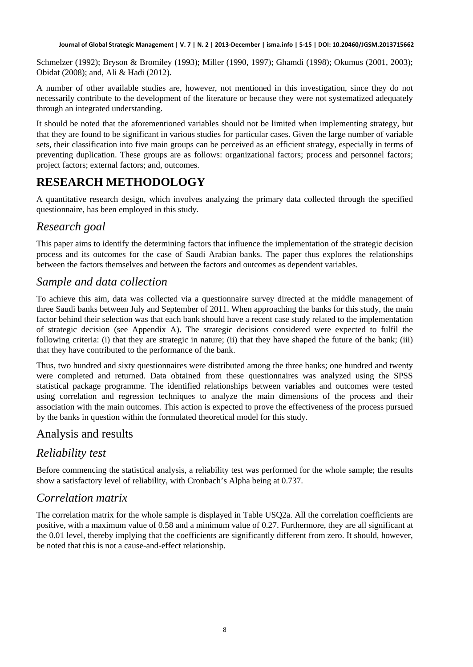Schmelzer (1992); Bryson & Bromiley (1993); Miller (1990, 1997); Ghamdi (1998); Okumus (2001, 2003); Obidat (2008); and, Ali & Hadi (2012).

A number of other available studies are, however, not mentioned in this investigation, since they do not necessarily contribute to the development of the literature or because they were not systematized adequately through an integrated understanding.

It should be noted that the aforementioned variables should not be limited when implementing strategy, but that they are found to be significant in various studies for particular cases. Given the large number of variable sets, their classification into five main groups can be perceived as an efficient strategy, especially in terms of preventing duplication. These groups are as follows: organizational factors; process and personnel factors; project factors; external factors; and, outcomes.

# **RESEARCH METHODOLOGY**

A quantitative research design, which involves analyzing the primary data collected through the specified questionnaire, has been employed in this study.

# *Research goal*

This paper aims to identify the determining factors that influence the implementation of the strategic decision process and its outcomes for the case of Saudi Arabian banks. The paper thus explores the relationships between the factors themselves and between the factors and outcomes as dependent variables.

### *Sample and data collection*

To achieve this aim, data was collected via a questionnaire survey directed at the middle management of three Saudi banks between July and September of 2011. When approaching the banks for this study, the main factor behind their selection was that each bank should have a recent case study related to the implementation of strategic decision (see Appendix A). The strategic decisions considered were expected to fulfil the following criteria: (i) that they are strategic in nature; (ii) that they have shaped the future of the bank; (iii) that they have contributed to the performance of the bank.

Thus, two hundred and sixty questionnaires were distributed among the three banks; one hundred and twenty were completed and returned. Data obtained from these questionnaires was analyzed using the SPSS statistical package programme. The identified relationships between variables and outcomes were tested using correlation and regression techniques to analyze the main dimensions of the process and their association with the main outcomes. This action is expected to prove the effectiveness of the process pursued by the banks in question within the formulated theoretical model for this study.

# Analysis and results

# *Reliability test*

Before commencing the statistical analysis, a reliability test was performed for the whole sample; the results show a satisfactory level of reliability, with Cronbach's Alpha being at 0.737.

# *Correlation matrix*

The correlation matrix for the whole sample is displayed in Table USQ2a. All the correlation coefficients are positive, with a maximum value of 0.58 and a minimum value of 0.27. Furthermore, they are all significant at the 0.01 level, thereby implying that the coefficients are significantly different from zero. It should, however, be noted that this is not a cause-and-effect relationship.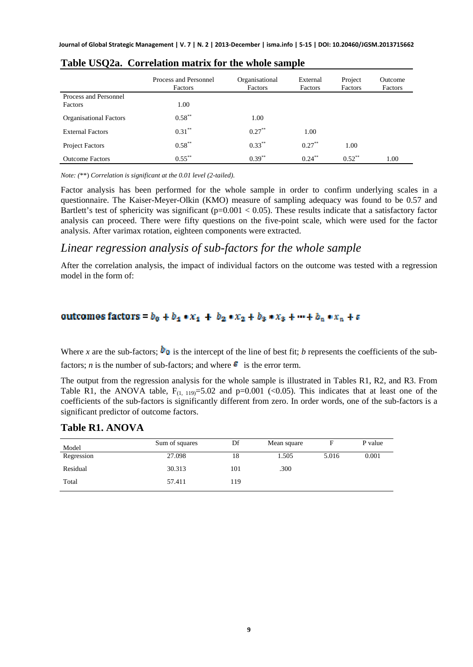|                               | Process and Personnel<br>Factors | Organisational<br>Factors | External<br>Factors | Project<br>Factors | Outcome<br>Factors |
|-------------------------------|----------------------------------|---------------------------|---------------------|--------------------|--------------------|
| Process and Personnel         |                                  |                           |                     |                    |                    |
| Factors                       | 1.00                             |                           |                     |                    |                    |
| <b>Organisational Factors</b> | $0.58***$                        | 1.00                      |                     |                    |                    |
| <b>External Factors</b>       | $0.31***$                        | $0.27***$                 | 1.00                |                    |                    |
| <b>Project Factors</b>        | $0.58***$                        | $0.33***$                 | $0.27***$           | 1.00               |                    |
| <b>Outcome Factors</b>        | $0.55***$                        | $0.39***$                 | $0.24***$           | $0.52$ **          | 1.00               |

| Table USQ2a. Correlation matrix for the whole sample |  |  |  |  |  |
|------------------------------------------------------|--|--|--|--|--|
|------------------------------------------------------|--|--|--|--|--|

*Note: (*\*\*) *Correlation is significant at the 0.01 level (2-tailed).*

Factor analysis has been performed for the whole sample in order to confirm underlying scales in a questionnaire. The Kaiser-Meyer-Olkin (KMO) measure of sampling adequacy was found to be 0.57 and Bartlett's test of sphericity was significant ( $p=0.001 < 0.05$ ). These results indicate that a satisfactory factor analysis can proceed. There were fifty questions on the five-point scale, which were used for the factor analysis. After varimax rotation, eighteen components were extracted.

### *Linear regression analysis of sub-factors for the whole sample*

After the correlation analysis, the impact of individual factors on the outcome was tested with a regression model in the form of:

#### outcomes factors =  $b_0 + b_1 * x_1 + b_2 * x_2 + b_3 * x_3 + \cdots + b_n * x_n + \varepsilon$

Where *x* are the sub-factors;  $\mathbf{b}_0$  is the intercept of the line of best fit; *b* represents the coefficients of the subfactors; *n* is the number of sub-factors; and where  $\epsilon$  is the error term.

The output from the regression analysis for the whole sample is illustrated in Tables R1, R2, and R3. From Table R1, the ANOVA table,  $F_{(1, 119)} = 5.02$  and  $p=0.001$  (<0.05). This indicates that at least one of the coefficients of the sub-factors is significantly different from zero. In order words, one of the sub-factors is a significant predictor of outcome factors.

#### **Table R1. ANOVA**

| Model      | Sum of squares | Df  | Mean square | F     | P value |
|------------|----------------|-----|-------------|-------|---------|
| Regression | 27.098         | 18  | 1.505       | 5.016 | 0.001   |
| Residual   | 30.313         | 101 | .300        |       |         |
| Total      | 57.411         | 119 |             |       |         |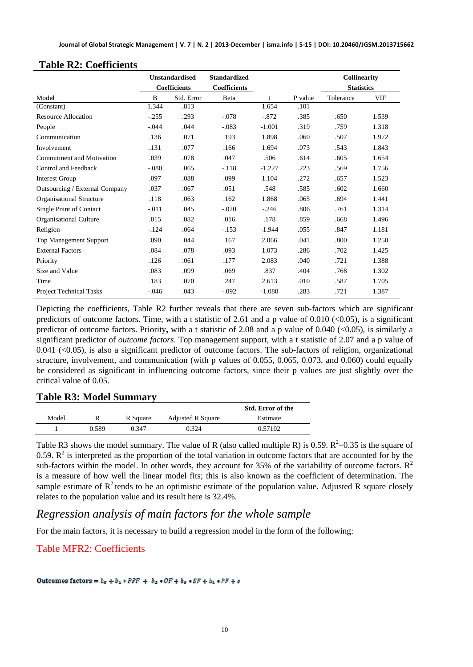|                                  | <b>Unstandardised</b> |                     | <b>Standardized</b> |              |         | <b>Collinearity</b> |       |
|----------------------------------|-----------------------|---------------------|---------------------|--------------|---------|---------------------|-------|
|                                  |                       | <b>Coefficients</b> | <b>Coefficients</b> |              |         | <b>Statistics</b>   |       |
| Model                            | B                     | Std. Error          | Beta                | $\mathbf{f}$ | P value | Tolerance           | VIF   |
| (Constant)                       | 1.344                 | .813                |                     | 1.654        | .101    |                     |       |
| Resource Allocation              | $-.255$               | .293                | $-.078$             | $-872$       | .385    | .650                | 1.539 |
| People                           | $-.044$               | .044                | $-.083$             | $-1.001$     | .319    | .759                | 1.318 |
| Communication                    | .136                  | .071                | .193                | 1.898        | .060    | .507                | 1.972 |
| Involvement                      | .131                  | .077                | .166                | 1.694        | .073    | .543                | 1.843 |
| <b>Commitment and Motivation</b> | .039                  | .078                | .047                | .506         | .614    | .605                | 1.654 |
| Control and Feedback             | $-.080$               | .065                | $-.118$             | $-1.227$     | .223    | .569                | 1.756 |
| <b>Interest Group</b>            | .097                  | .088                | .099                | 1.104        | .272    | .657                | 1.523 |
| Outsourcing / External Company   | .037                  | .067                | .051                | .548         | .585    | .602                | 1.660 |
| Organisational Structure         | .118                  | .063                | .162                | 1.868        | .065    | .694                | 1.441 |
| Single Point of Contact          | $-.011$               | .045                | $-.020$             | $-.246$      | .806    | .761                | 1.314 |
| Organisational Culture           | .015                  | .082                | .016                | .178         | .859    | .668                | 1.496 |
| Religion                         | $-.124$               | .064                | $-153$              | $-1.944$     | .055    | .847                | 1.181 |
| <b>Top Management Support</b>    | .090                  | .044                | .167                | 2.066        | .041    | .800                | 1.250 |
| <b>External Factors</b>          | .084                  | .078                | .093                | 1.073        | .286    | .702                | 1.425 |
| Priority                         | .126                  | .061                | .177                | 2.083        | .040    | .721                | 1.388 |
| Size and Value                   | .083                  | .099                | .069                | .837         | .404    | .768                | 1.302 |
| Time                             | .183                  | .070                | .247                | 2.613        | .010    | .587                | 1.705 |
| <b>Project Technical Tasks</b>   | $-.046$               | .043                | $-.092$             | $-1.080$     | .283    | .721                | 1.387 |

#### **Table R2: Coefficients**

Depicting the coefficients, Table R2 further reveals that there are seven sub-factors which are significant predictors of outcome factors. Time, with a t statistic of 2.61 and a p value of  $0.010$  (<0.05), is a significant predictor of outcome factors. Priority**,** with a t statistic of 2.08 and a p value of 0.040 (<0.05), is similarly a significant predictor of *outcome factors*. Top management support, with a t statistic of 2.07 and a p value of 0.041 (<0.05), is also a significant predictor of outcome factors. The sub-factors of religion, organizational structure, involvement, and communication (with p values of 0.055, 0.065, 0.073, and 0.060) could equally be considered as significant in influencing outcome factors, since their p values are just slightly over the critical value of 0.05.

#### **Table R3: Model Summary**

|       |       |          |                          | Std. Error of the |
|-------|-------|----------|--------------------------|-------------------|
| Model |       | R Square | <b>Adjusted R Square</b> | Estimate          |
|       | 0.589 | 0.347    | 0.324                    | 0.57102           |

Table R3 shows the model summary. The value of R (also called multiple R) is 0.59.  $R^2$ =0.35 is the square of 0.59.  $\mathbb{R}^2$  is interpreted as the proportion of the total variation in outcome factors that are accounted for by the sub-factors within the model. In other words, they account for 35% of the variability of outcome factors.  $R^2$ is a measure of how well the linear model fits; this is also known as the coefficient of determination. The sample estimate of  $R^2$  tends to be an optimistic estimate of the population value. Adjusted R square closely relates to the population value and its result here is 32.4%.

### *Regression analysis of main factors for the whole sample*

For the main factors, it is necessary to build a regression model in the form of the following:

### Table MFR2: Coefficients

Outcomes factors =  $b_0 + b_1 * PPP + b_2 * OF + b_3 * EF + b_4 * PF + \varepsilon$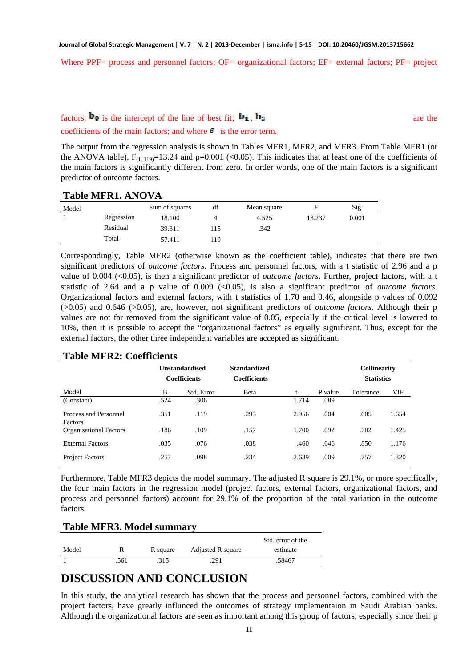Where PPF= process and personnel factors; OF= organizational factors; EF= external factors; PF= project

### factors;  $\mathbf{b}_0$  is the intercept of the line of best fit;  $\mathbf{b}_1$ ,  $\mathbf{b}_2$

coefficients of the main factors; and where  $\epsilon$  is the error term.

The output from the regression analysis is shown in Tables MFR1, MFR2, and MFR3. From Table MFR1 (or the ANOVA table),  $F_{(1, 119)} = 13.24$  and p=0.001 (<0.05). This indicates that at least one of the coefficients of the main factors is significantly different from zero. In order words, one of the main factors is a significant predictor of outcome factors.

**Table MFR1. ANOVA** 

| Model |            | Sum of squares | df  | Mean square |        | Sig.  |
|-------|------------|----------------|-----|-------------|--------|-------|
|       | Regression | 18.100         |     | 4.525       | 13.237 | 0.001 |
|       | Residual   | 39.311         | 115 | .342        |        |       |
|       | Total      | 57.411         | 119 |             |        |       |

Correspondingly, Table MFR2 (otherwise known as the coefficient table), indicates that there are two significant predictors of *outcome factors*. Process and personnel factors, with a t statistic of 2.96 and a p value of 0.004 (<0.05), is then a significant predictor of *outcome factors*. Further, project factors, with a t statistic of 2.64 and a p value of 0.009 (<0.05), is also a significant predictor of *outcome factors*. Organizational factors and external factors, with t statistics of 1.70 and 0.46, alongside p values of 0.092 (>0.05) and 0.646 (>0.05), are, however, not significant predictors of *outcome factors*. Although their p values are not far removed from the significant value of 0.05, especially if the critical level is lowered to 10%, then it is possible to accept the "organizational factors" as equally significant. Thus, except for the external factors, the other three independent variables are accepted as significant.

|                                  |      | <b>Unstandardised</b><br><b>Coefficients</b> | <b>Standardized</b><br><b>Coefficients</b> |       |         | <b>Collinearity</b><br><b>Statistics</b> |       |
|----------------------------------|------|----------------------------------------------|--------------------------------------------|-------|---------|------------------------------------------|-------|
| Model                            | B    | Std. Error                                   | Beta                                       | л.    | P value | Tolerance                                | VIF   |
| (Constant)                       | .524 | .306                                         |                                            | 1.714 | .089    |                                          |       |
| Process and Personnel<br>Factors | .351 | .119                                         | .293                                       | 2.956 | .004    | .605                                     | 1.654 |
| <b>Organisational Factors</b>    | .186 | .109                                         | .157                                       | 1.700 | .092    | .702                                     | 1.425 |
| <b>External Factors</b>          | .035 | .076                                         | .038                                       | .460  | .646    | .850                                     | 1.176 |
| <b>Project Factors</b>           | .257 | .098                                         | .234                                       | 2.639 | .009    | .757                                     | 1.320 |

#### **Table MFR2: Coefficients**

Furthermore, Table MFR3 depicts the model summary. The adjusted R square is 29.1%, or more specifically, the four main factors in the regression model (project factors, external factors, organizational factors, and process and personnel factors) account for 29.1% of the proportion of the total variation in the outcome factors.

#### **Table MFR3. Model summary**

|       |      |          |                   | Std. error of the |
|-------|------|----------|-------------------|-------------------|
| Model |      | R square | Adjusted R square | estimate          |
|       | .561 | .315     | .291              | .58467            |

### **DISCUSSION AND CONCLUSION**

In this study, the analytical research has shown that the process and personnel factors, combined with the project factors, have greatly influnced the outcomes of strategy implementaion in Saudi Arabian banks. Although the organizational factors are seen as important among this group of factors, especially since their p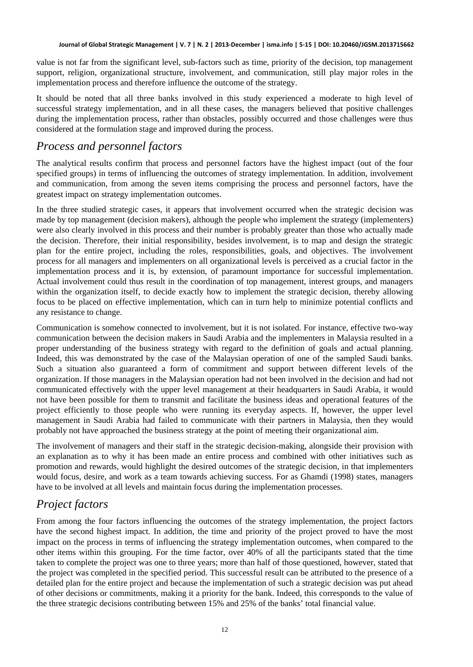value is not far from the significant level, sub-factors such as time, priority of the decision, top management support, religion, organizational structure, involvement, and communication, still play major roles in the implementation process and therefore influence the outcome of the strategy.

It should be noted that all three banks involved in this study experienced a moderate to high level of successful strategy implementation, and in all these cases, the managers believed that positive challenges during the implementation process, rather than obstacles, possibly occurred and those challenges were thus considered at the formulation stage and improved during the process.

### *Process and personnel factors*

The analytical results confirm that process and personnel factors have the highest impact (out of the four specified groups) in terms of influencing the outcomes of strategy implementation. In addition, involvement and communication, from among the seven items comprising the process and personnel factors, have the greatest impact on strategy implementation outcomes.

In the three studied strategic cases, it appears that involvement occurred when the strategic decision was made by top management (decision makers), although the people who implement the strategy (implementers) were also clearly involved in this process and their number is probably greater than those who actually made the decision. Therefore, their initial responsibility, besides involvement, is to map and design the strategic plan for the entire project, including the roles, responsibilities, goals, and objectives. The involvement process for all managers and implementers on all organizational levels is perceived as a crucial factor in the implementation process and it is, by extension, of paramount importance for successful implementation. Actual involvement could thus result in the coordination of top management, interest groups, and managers within the organization itself, to decide exactly how to implement the strategic decision, thereby allowing focus to be placed on effective implementation, which can in turn help to minimize potential conflicts and any resistance to change.

Communication is somehow connected to involvement, but it is not isolated. For instance, effective two-way communication between the decision makers in Saudi Arabia and the implementers in Malaysia resulted in a proper understanding of the business strategy with regard to the definition of goals and actual planning. Indeed, this was demonstrated by the case of the Malaysian operation of one of the sampled Saudi banks. Such a situation also guaranteed a form of commitment and support between different levels of the organization. If those managers in the Malaysian operation had not been involved in the decision and had not communicated effectively with the upper level management at their headquarters in Saudi Arabia, it would not have been possible for them to transmit and facilitate the business ideas and operational features of the project efficiently to those people who were running its everyday aspects. If, however, the upper level management in Saudi Arabia had failed to communicate with their partners in Malaysia, then they would probably not have approached the business strategy at the point of meeting their organizational aim.

The involvement of managers and their staff in the strategic decision-making, alongside their provision with an explanation as to why it has been made an entire process and combined with other initiatives such as promotion and rewards, would highlight the desired outcomes of the strategic decision, in that implementers would focus, desire, and work as a team towards achieving success. For as Ghamdi (1998) states, managers have to be involved at all levels and maintain focus during the implementation processes.

# *Project factors*

From among the four factors influencing the outcomes of the strategy implementation, the project factors have the second highest impact. In addition, the time and priority of the project proved to have the most impact on the process in terms of influencing the strategy implementation outcomes, when compared to the other items within this grouping. For the time factor, over 40% of all the participants stated that the time taken to complete the project was one to three years; more than half of those questioned, however, stated that the project was completed in the specified period. This successful result can be attributed to the presence of a detailed plan for the entire project and because the implementation of such a strategic decision was put ahead of other decisions or commitments, making it a priority for the bank. Indeed, this corresponds to the value of the three strategic decisions contributing between 15% and 25% of the banks' total financial value.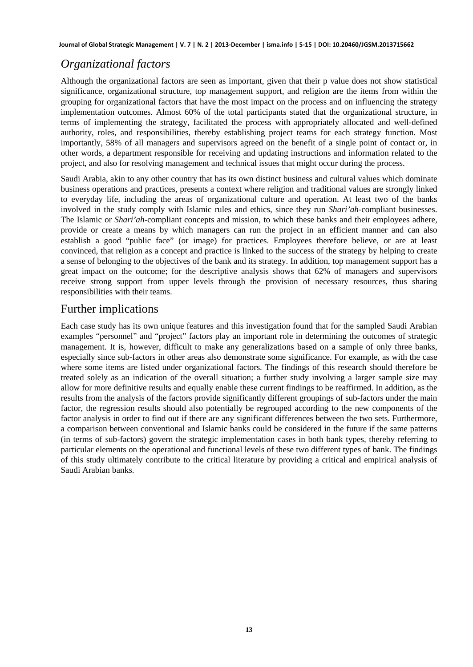# *Organizational factors*

Although the organizational factors are seen as important, given that their p value does not show statistical significance, organizational structure, top management support, and religion are the items from within the grouping for organizational factors that have the most impact on the process and on influencing the strategy implementation outcomes. Almost 60% of the total participants stated that the organizational structure, in terms of implementing the strategy, facilitated the process with appropriately allocated and well-defined authority, roles, and responsibilities, thereby establishing project teams for each strategy function. Most importantly, 58% of all managers and supervisors agreed on the benefit of a single point of contact or, in other words, a department responsible for receiving and updating instructions and information related to the project, and also for resolving management and technical issues that might occur during the process.

Saudi Arabia, akin to any other country that has its own distinct business and cultural values which dominate business operations and practices, presents a context where religion and traditional values are strongly linked to everyday life, including the areas of organizational culture and operation. At least two of the banks involved in the study comply with Islamic rules and ethics, since they run *Shari'ah*-compliant businesses. The Islamic or *Shari'ah*-compliant concepts and mission, to which these banks and their employees adhere, provide or create a means by which managers can run the project in an efficient manner and can also establish a good "public face" (or image) for practices. Employees therefore believe, or are at least convinced, that religion as a concept and practice is linked to the success of the strategy by helping to create a sense of belonging to the objectives of the bank and its strategy. In addition, top management support has a great impact on the outcome; for the descriptive analysis shows that 62% of managers and supervisors receive strong support from upper levels through the provision of necessary resources, thus sharing responsibilities with their teams.

### Further implications

Each case study has its own unique features and this investigation found that for the sampled Saudi Arabian examples "personnel" and "project" factors play an important role in determining the outcomes of strategic management. It is, however, difficult to make any generalizations based on a sample of only three banks, especially since sub-factors in other areas also demonstrate some significance. For example, as with the case where some items are listed under organizational factors. The findings of this research should therefore be treated solely as an indication of the overall situation; a further study involving a larger sample size may allow for more definitive results and equally enable these current findings to be reaffirmed. In addition, as the results from the analysis of the factors provide significantly different groupings of sub-factors under the main factor, the regression results should also potentially be regrouped according to the new components of the factor analysis in order to find out if there are any significant differences between the two sets. Furthermore, a comparison between conventional and Islamic banks could be considered in the future if the same patterns (in terms of sub-factors) govern the strategic implementation cases in both bank types, thereby referring to particular elements on the operational and functional levels of these two different types of bank. The findings of this study ultimately contribute to the critical literature by providing a critical and empirical analysis of Saudi Arabian banks.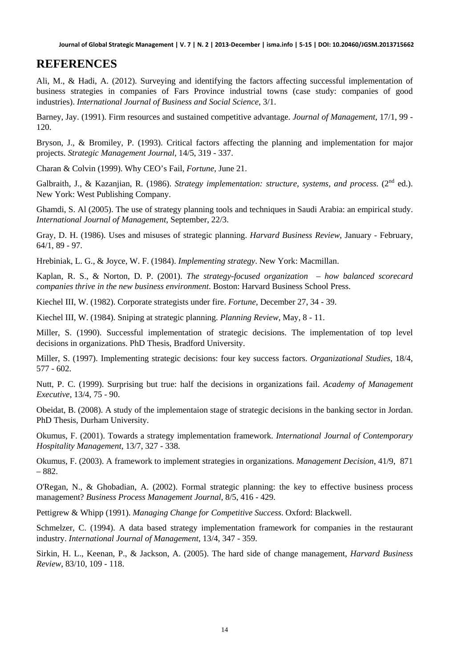### **REFERENCES**

Ali, M., & Hadi, A. (2012). Surveying and identifying the factors affecting successful implementation of business strategies in companies of Fars Province industrial towns (case study: companies of good industries). *International Journal of Business and Social Science*, 3/1.

Barney, Jay. (1991). Firm resources and sustained competitive advantage. *Journal of Management*, 17/1, 99 - 120.

Bryson, J., & Bromiley, P. (1993). Critical factors affecting the planning and implementation for major projects. *Strategic Management Journal*, 14/5, 319 - 337.

Charan & Colvin (1999). Why CEO's Fail, *Fortune*, June 21.

Galbraith, J., & Kazanjian, R. (1986). *Strategy implementation: structure, systems, and process*. (2<sup>nd</sup> ed.). New York: West Publishing Company.

Ghamdi, S. Al (2005). The use of strategy planning tools and techniques in Saudi Arabia: an empirical study. *International Journal of Management*, September, 22/3.

Gray, D. H. (1986). Uses and misuses of strategic planning. *Harvard Business Review*, January - February, 64/1, 89 - 97.

Hrebiniak, L. G., & Joyce, W. F. (1984). *Implementing strategy*. New York: Macmillan.

Kaplan, R. S., & Norton, D. P. (2001). *The strategy-focused organization – how balanced scorecard companies thrive in the new business environment*. Boston: Harvard Business School Press.

Kiechel III, W. (1982). Corporate strategists under fire. *Fortune*, December 27, 34 - 39.

Kiechel III, W. (1984). Sniping at strategic planning. *Planning Review*, May, 8 - 11.

Miller, S. (1990). Successful implementation of strategic decisions. The implementation of top level decisions in organizations. PhD Thesis, Bradford University.

Miller, S. (1997). Implementing strategic decisions: four key success factors. *Organizational Studies*, 18/4, 577 - 602.

Nutt, P. C. (1999). Surprising but true: half the decisions in organizations fail. *Academy of Management Executive*, 13/4, 75 - 90.

Obeidat, B. (2008). A study of the implementaion stage of strategic decisions in the banking sector in Jordan. PhD Thesis, Durham University.

Okumus, F. (2001). Towards a strategy implementation framework. *International Journal of Contemporary Hospitality Management*, 13/7, 327 - 338.

Okumus, F. (2003). A framework to implement strategies in organizations. *Management Decision*, 41/9, 871 – 882.

O'Regan, N., & Ghobadian, A. (2002). Formal strategic planning: the key to effective business process management? *Business Process Management Journal*, 8/5, 416 - 429.

Pettigrew & Whipp (1991). *Managing Change for Competitive Success*. Oxford: Blackwell.

Schmelzer, C. (1994). A data based strategy implementation framework for companies in the restaurant industry. *International Journal of Management*, 13/4, 347 - 359.

Sirkin, H. L., Keenan, P., & Jackson, A. (2005). The hard side of change management, *Harvard Business Review*, 83/10, 109 - 118.